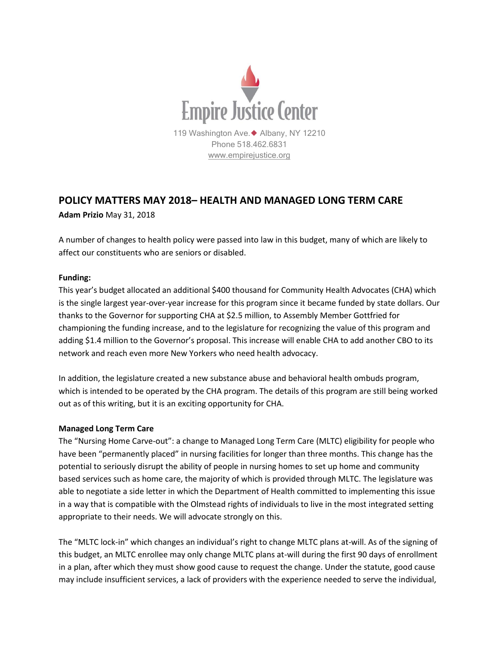

## **POLICY MATTERS MAY 2018– HEALTH AND MANAGED LONG TERM CARE**

**Adam Prizio** May 31, 2018

A number of changes to health policy were passed into law in this budget, many of which are likely to affect our constituents who are seniors or disabled.

## **Funding:**

This year's budget allocated an additional \$400 thousand for Community Health Advocates (CHA) which is the single largest year-over-year increase for this program since it became funded by state dollars. Our thanks to the Governor for supporting CHA at \$2.5 million, to Assembly Member Gottfried for championing the funding increase, and to the legislature for recognizing the value of this program and adding \$1.4 million to the Governor's proposal. This increase will enable CHA to add another CBO to its network and reach even more New Yorkers who need health advocacy.

In addition, the legislature created a new substance abuse and behavioral health ombuds program, which is intended to be operated by the CHA program. The details of this program are still being worked out as of this writing, but it is an exciting opportunity for CHA.

## **Managed Long Term Care**

The "Nursing Home Carve-out": a change to Managed Long Term Care (MLTC) eligibility for people who have been "permanently placed" in nursing facilities for longer than three months. This change has the potential to seriously disrupt the ability of people in nursing homes to set up home and community based services such as home care, the majority of which is provided through MLTC. The legislature was able to negotiate a side letter in which the Department of Health committed to implementing this issue in a way that is compatible with the Olmstead rights of individuals to live in the most integrated setting appropriate to their needs. We will advocate strongly on this.

The "MLTC lock-in" which changes an individual's right to change MLTC plans at-will. As of the signing of this budget, an MLTC enrollee may only change MLTC plans at-will during the first 90 days of enrollment in a plan, after which they must show good cause to request the change. Under the statute, good cause may include insufficient services, a lack of providers with the experience needed to serve the individual,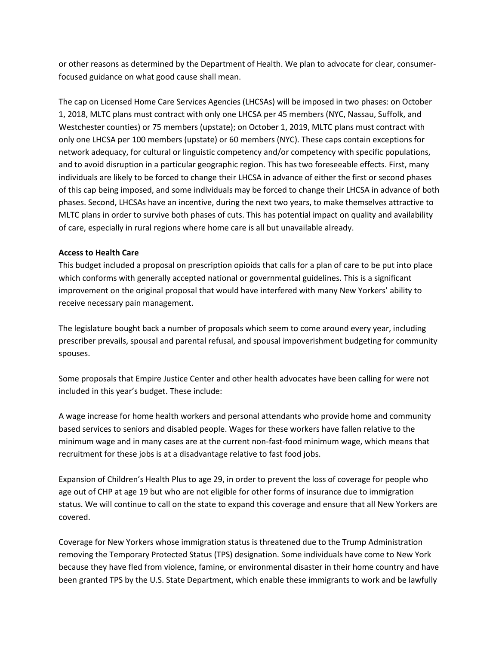or other reasons as determined by the Department of Health. We plan to advocate for clear, consumerfocused guidance on what good cause shall mean.

The cap on Licensed Home Care Services Agencies (LHCSAs) will be imposed in two phases: on October 1, 2018, MLTC plans must contract with only one LHCSA per 45 members (NYC, Nassau, Suffolk, and Westchester counties) or 75 members (upstate); on October 1, 2019, MLTC plans must contract with only one LHCSA per 100 members (upstate) or 60 members (NYC). These caps contain exceptions for network adequacy, for cultural or linguistic competency and/or competency with specific populations, and to avoid disruption in a particular geographic region. This has two foreseeable effects. First, many individuals are likely to be forced to change their LHCSA in advance of either the first or second phases of this cap being imposed, and some individuals may be forced to change their LHCSA in advance of both phases. Second, LHCSAs have an incentive, during the next two years, to make themselves attractive to MLTC plans in order to survive both phases of cuts. This has potential impact on quality and availability of care, especially in rural regions where home care is all but unavailable already.

## **Access to Health Care**

This budget included a proposal on prescription opioids that calls for a plan of care to be put into place which conforms with generally accepted national or governmental guidelines. This is a significant improvement on the original proposal that would have interfered with many New Yorkers' ability to receive necessary pain management.

The legislature bought back a number of proposals which seem to come around every year, including prescriber prevails, spousal and parental refusal, and spousal impoverishment budgeting for community spouses.

Some proposals that Empire Justice Center and other health advocates have been calling for were not included in this year's budget. These include:

A wage increase for home health workers and personal attendants who provide home and community based services to seniors and disabled people. Wages for these workers have fallen relative to the minimum wage and in many cases are at the current non-fast-food minimum wage, which means that recruitment for these jobs is at a disadvantage relative to fast food jobs.

Expansion of Children's Health Plus to age 29, in order to prevent the loss of coverage for people who age out of CHP at age 19 but who are not eligible for other forms of insurance due to immigration status. We will continue to call on the state to expand this coverage and ensure that all New Yorkers are covered.

Coverage for New Yorkers whose immigration status is threatened due to the Trump Administration removing the Temporary Protected Status (TPS) designation. Some individuals have come to New York because they have fled from violence, famine, or environmental disaster in their home country and have been granted TPS by the U.S. State Department, which enable these immigrants to work and be lawfully